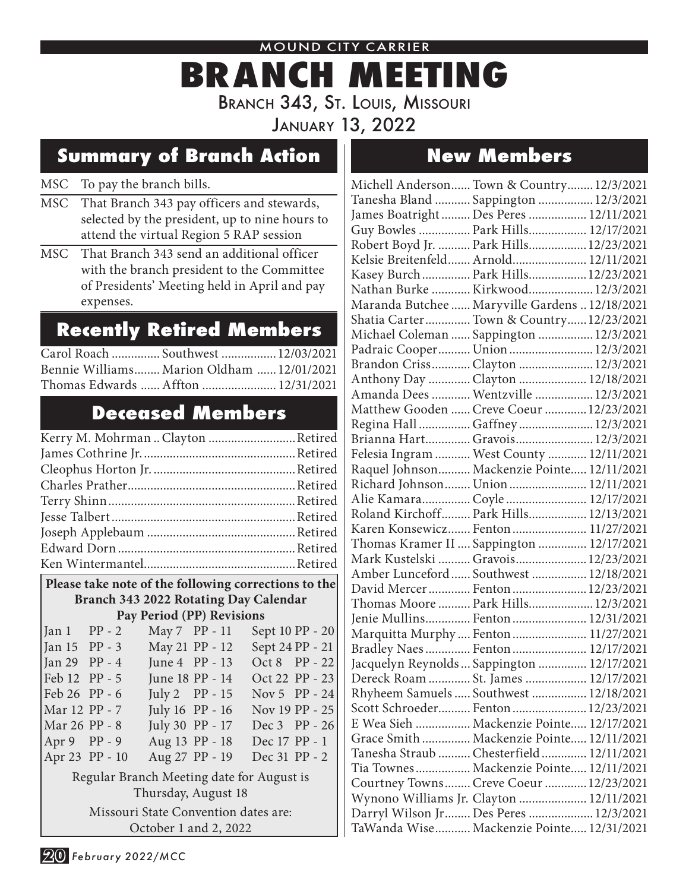MOUND CITY CARRIER

# **BRANCH MEETING** Branch 343, St. Louis, Missouri

January 13, 2022

### **Summary of Branch Action New Members**

#### MSC To pay the branch bills.

- MSC That Branch 343 pay officers and stewards, selected by the president, up to nine hours to attend the virtual Region 5 RAP session
- MSC That Branch 343 send an additional officer with the branch president to the Committee of Presidents' Meeting held in April and pay expenses.

### **Recently Retired Members**

| Carol Roach  Southwest  12/03/2021        |  |
|-------------------------------------------|--|
| Bennie Williams Marion Oldham  12/01/2021 |  |
| Thomas Edwards  Affton  12/31/2021        |  |

## **Deceased Members**

| Kerry M. Mohrman  Clayton Retired |  |
|-----------------------------------|--|
|                                   |  |
|                                   |  |
|                                   |  |
|                                   |  |
|                                   |  |
|                                   |  |
|                                   |  |
|                                   |  |

#### **Please take note of the following corrections to the Branch 343 2022 Rotating Day Calendar Pay Period (PP) Revisions**

| $Jan 1 PP - 2$                            |  | May 7 PP - 11  |                 | Sept 10 PP - 20 |  |  |
|-------------------------------------------|--|----------------|-----------------|-----------------|--|--|
| Jan 15 PP - 3                             |  |                | May 21 PP - 12  | Sept 24 PP - 21 |  |  |
| Jan 29 PP - 4                             |  |                | June 4 PP - 13  | Oct 8 PP - 22   |  |  |
| Feb 12 PP - 5                             |  |                | June 18 PP - 14 | Oct 22 PP - 23  |  |  |
| Feb 26 PP - 6                             |  |                | July 2 PP - 15  | Nov 5 PP - 24   |  |  |
| Mar 12 PP - 7                             |  |                | July 16 PP - 16 | Nov 19 PP - 25  |  |  |
| Mar 26 PP - 8                             |  |                | July 30 PP - 17 | Dec 3 PP - 26   |  |  |
| Apr $9$ PP - 9                            |  | Aug 13 PP - 18 |                 | Dec 17 PP - 1   |  |  |
| Apr 23 PP - 10                            |  |                | Aug 27 PP - 19  | Dec 31 PP - 2   |  |  |
| Regular Branch Meeting date for August is |  |                |                 |                 |  |  |
| Thursday, August 18                       |  |                |                 |                 |  |  |
|                                           |  |                |                 |                 |  |  |

Missouri State Convention dates are: October 1 and 2, 2022

| Michell Anderson Town & Country 12/3/2021      |  |
|------------------------------------------------|--|
| Tanesha Bland  Sappington  12/3/2021           |  |
| James Boatright  Des Peres  12/11/2021         |  |
| Guy Bowles  Park Hills 12/17/2021              |  |
| Robert Boyd Jr.  Park Hills 12/23/2021         |  |
| Kelsie Breitenfeld Arnold 12/11/2021           |  |
| Kasey Burch  Park Hills  12/23/2021            |  |
| Nathan Burke  Kirkwood 12/3/2021               |  |
| Maranda Butchee  Maryville Gardens  12/18/2021 |  |
| Shatia Carter Town & Country 12/23/2021        |  |
| Michael Coleman  Sappington  12/3/2021         |  |
| Padraic Cooper Union 12/3/2021                 |  |
| Brandon Criss Clayton  12/3/2021               |  |
| Anthony Day  Clayton  12/18/2021               |  |
| Amanda Dees  Wentzville  12/3/2021             |  |
| Matthew Gooden  Creve Coeur  12/23/2021        |  |
| Regina Hall  Gaffney  12/3/2021                |  |
| Brianna Hart Gravois 12/3/2021                 |  |
| Felesia Ingram  West County  12/11/2021        |  |
| Raquel Johnson Mackenzie Pointe 12/11/2021     |  |
| Richard Johnson Union 12/11/2021               |  |
| Alie Kamara Coyle  12/17/2021                  |  |
| Roland Kirchoff Park Hills 12/13/2021          |  |
| Karen Konsewicz Fenton  11/27/2021             |  |
| Thomas Kramer II  Sappington  12/17/2021       |  |
| Mark Kustelski  Gravois 12/23/2021             |  |
| Amber Lunceford  Southwest  12/18/2021         |  |
| David Mercer  Fenton  12/23/2021               |  |
| Thomas Moore  Park Hills 12/3/2021             |  |
| Jenie Mullins Fenton  12/31/2021               |  |
| Marquitta Murphy  Fenton  11/27/2021           |  |
| Bradley Naes Fenton 12/17/2021                 |  |
| Jacquelyn Reynolds  Sappington  12/17/2021     |  |
| Dereck Roam  St. James  12/17/2021             |  |
| Rhyheem Samuels  Southwest  12/18/2021         |  |
| Scott Schroeder Fenton 12/23/2021              |  |
| E Wea Sieh  Mackenzie Pointe 12/17/2021        |  |
| Grace Smith  Mackenzie Pointe 12/11/2021       |  |
| Tanesha Straub  Chesterfield  12/11/2021       |  |
| Tia Townes Mackenzie Pointe 12/11/2021         |  |
| Courtney Towns Creve Coeur  12/23/2021         |  |
| Wynono Williams Jr. Clayton  12/11/2021        |  |
| Darryl Wilson Jr  Des Peres  12/3/2021         |  |
| TaWanda Wise Mackenzie Pointe 12/31/2021       |  |
|                                                |  |